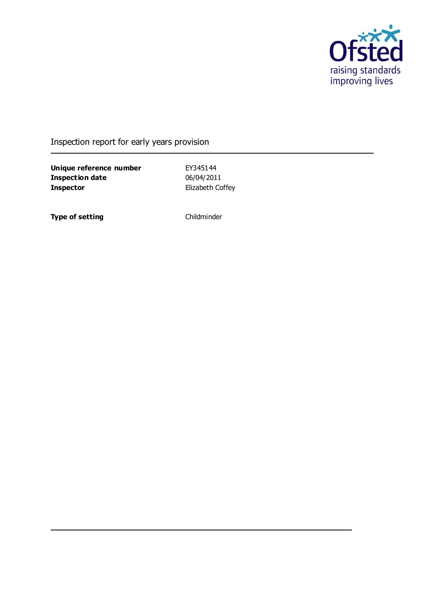

Inspection report for early years provision

**Unique reference number** EY345144<br> **Inspection date** 06/04/2011 **Inspection date Inspector** Elizabeth Coffey

**Type of setting** Childminder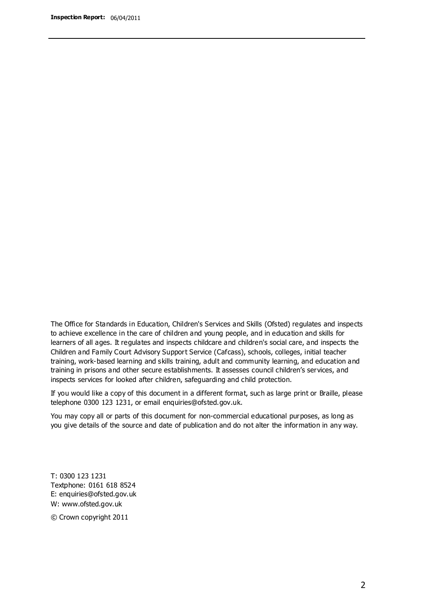The Office for Standards in Education, Children's Services and Skills (Ofsted) regulates and inspects to achieve excellence in the care of children and young people, and in education and skills for learners of all ages. It regulates and inspects childcare and children's social care, and inspects the Children and Family Court Advisory Support Service (Cafcass), schools, colleges, initial teacher training, work-based learning and skills training, adult and community learning, and education and training in prisons and other secure establishments. It assesses council children's services, and inspects services for looked after children, safeguarding and child protection.

If you would like a copy of this document in a different format, such as large print or Braille, please telephone 0300 123 1231, or email enquiries@ofsted.gov.uk.

You may copy all or parts of this document for non-commercial educational purposes, as long as you give details of the source and date of publication and do not alter the information in any way.

T: 0300 123 1231 Textphone: 0161 618 8524 E: enquiries@ofsted.gov.uk W: [www.ofsted.gov.uk](http://www.ofsted.gov.uk/)

© Crown copyright 2011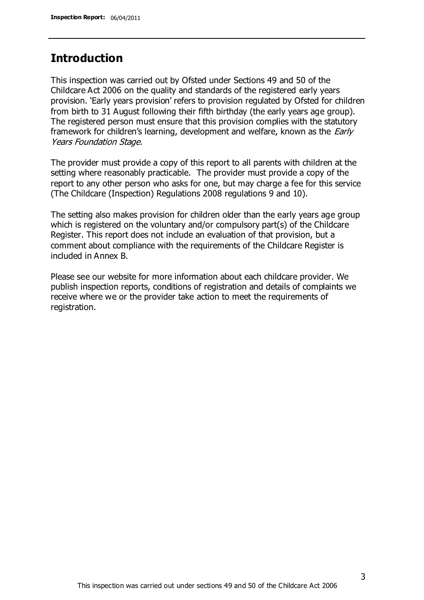## **Introduction**

This inspection was carried out by Ofsted under Sections 49 and 50 of the Childcare Act 2006 on the quality and standards of the registered early years provision. 'Early years provision' refers to provision regulated by Ofsted for children from birth to 31 August following their fifth birthday (the early years age group). The registered person must ensure that this provision complies with the statutory framework for children's learning, development and welfare, known as the *Early* Years Foundation Stage.

The provider must provide a copy of this report to all parents with children at the setting where reasonably practicable. The provider must provide a copy of the report to any other person who asks for one, but may charge a fee for this service (The Childcare (Inspection) Regulations 2008 regulations 9 and 10).

The setting also makes provision for children older than the early years age group which is registered on the voluntary and/or compulsory part(s) of the Childcare Register. This report does not include an evaluation of that provision, but a comment about compliance with the requirements of the Childcare Register is included in Annex B.

Please see our website for more information about each childcare provider. We publish inspection reports, conditions of registration and details of complaints we receive where we or the provider take action to meet the requirements of registration.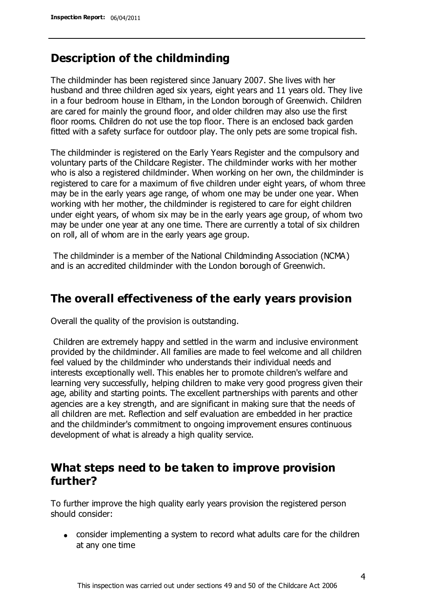## **Description of the childminding**

The childminder has been registered since January 2007. She lives with her husband and three children aged six years, eight years and 11 years old. They live in a four bedroom house in Eltham, in the London borough of Greenwich. Children are cared for mainly the ground floor, and older children may also use the first floor rooms. Children do not use the top floor. There is an enclosed back garden fitted with a safety surface for outdoor play. The only pets are some tropical fish.

The childminder is registered on the Early Years Register and the compulsory and voluntary parts of the Childcare Register. The childminder works with her mother who is also a registered childminder. When working on her own, the childminder is registered to care for a maximum of five children under eight years, of whom three may be in the early years age range, of whom one may be under one year. When working with her mother, the childminder is registered to care for eight children under eight years, of whom six may be in the early years age group, of whom two may be under one year at any one time. There are currently a total of six children on roll, all of whom are in the early years age group.

The childminder is a member of the National Childminding Association (NCMA) and is an accredited childminder with the London borough of Greenwich.

## **The overall effectiveness of the early years provision**

Overall the quality of the provision is outstanding.

Children are extremely happy and settled in the warm and inclusive environment provided by the childminder. All families are made to feel welcome and all children feel valued by the childminder who understands their individual needs and interests exceptionally well. This enables her to promote children's welfare and learning very successfully, helping children to make very good progress given their age, ability and starting points. The excellent partnerships with parents and other agencies are a key strength, and are significant in making sure that the needs of all children are met. Reflection and self evaluation are embedded in her practice and the childminder's commitment to ongoing improvement ensures continuous development of what is already a high quality service.

## **What steps need to be taken to improve provision further?**

To further improve the high quality early years provision the registered person should consider:

consider implementing a system to record what adults care for the children at any one time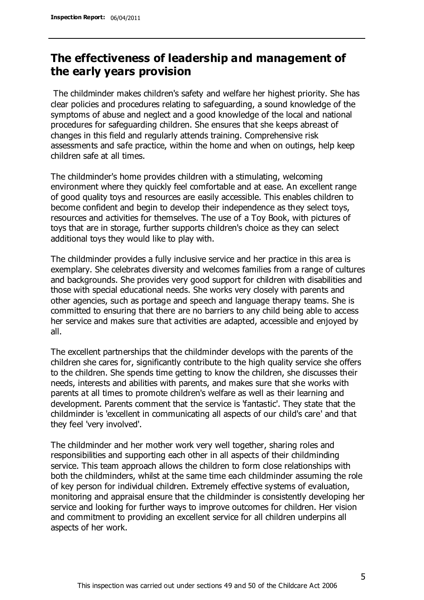# **The effectiveness of leadership and management of the early years provision**

The childminder makes children's safety and welfare her highest priority. She has clear policies and procedures relating to safeguarding, a sound knowledge of the symptoms of abuse and neglect and a good knowledge of the local and national procedures for safeguarding children. She ensures that she keeps abreast of changes in this field and regularly attends training. Comprehensive risk assessments and safe practice, within the home and when on outings, help keep children safe at all times.

The childminder's home provides children with a stimulating, welcoming environment where they quickly feel comfortable and at ease. An excellent range of good quality toys and resources are easily accessible. This enables children to become confident and begin to develop their independence as they select toys, resources and activities for themselves. The use of a Toy Book, with pictures of toys that are in storage, further supports children's choice as they can select additional toys they would like to play with.

The childminder provides a fully inclusive service and her practice in this area is exemplary. She celebrates diversity and welcomes families from a range of cultures and backgrounds. She provides very good support for children with disabilities and those with special educational needs. She works very closely with parents and other agencies, such as portage and speech and language therapy teams. She is committed to ensuring that there are no barriers to any child being able to access her service and makes sure that activities are adapted, accessible and enjoyed by all.

The excellent partnerships that the childminder develops with the parents of the children she cares for, significantly contribute to the high quality service she offers to the children. She spends time getting to know the children, she discusses their needs, interests and abilities with parents, and makes sure that she works with parents at all times to promote children's welfare as well as their learning and development. Parents comment that the service is 'fantastic'. They state that the childminder is 'excellent in communicating all aspects of our child's care' and that they feel 'very involved'.

The childminder and her mother work very well together, sharing roles and responsibilities and supporting each other in all aspects of their childminding service. This team approach allows the children to form close relationships with both the childminders, whilst at the same time each childminder assuming the role of key person for individual children. Extremely effective systems of evaluation, monitoring and appraisal ensure that the childminder is consistently developing her service and looking for further ways to improve outcomes for children. Her vision and commitment to providing an excellent service for all children underpins all aspects of her work.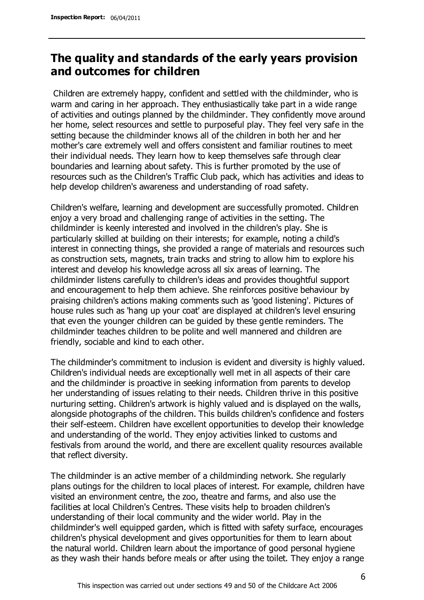# **The quality and standards of the early years provision and outcomes for children**

Children are extremely happy, confident and settled with the childminder, who is warm and caring in her approach. They enthusiastically take part in a wide range of activities and outings planned by the childminder. They confidently move around her home, select resources and settle to purposeful play. They feel very safe in the setting because the childminder knows all of the children in both her and her mother's care extremely well and offers consistent and familiar routines to meet their individual needs. They learn how to keep themselves safe through clear boundaries and learning about safety. This is further promoted by the use of resources such as the Children's Traffic Club pack, which has activities and ideas to help develop children's awareness and understanding of road safety.

Children's welfare, learning and development are successfully promoted. Children enjoy a very broad and challenging range of activities in the setting. The childminder is keenly interested and involved in the children's play. She is particularly skilled at building on their interests; for example, noting a child's interest in connecting things, she provided a range of materials and resources such as construction sets, magnets, train tracks and string to allow him to explore his interest and develop his knowledge across all six areas of learning. The childminder listens carefully to children's ideas and provides thoughtful support and encouragement to help them achieve. She reinforces positive behaviour by praising children's actions making comments such as 'good listening'. Pictures of house rules such as 'hang up your coat' are displayed at children's level ensuring that even the younger children can be guided by these gentle reminders. The childminder teaches children to be polite and well mannered and children are friendly, sociable and kind to each other.

The childminder's commitment to inclusion is evident and diversity is highly valued. Children's individual needs are exceptionally well met in all aspects of their care and the childminder is proactive in seeking information from parents to develop her understanding of issues relating to their needs. Children thrive in this positive nurturing setting. Children's artwork is highly valued and is displayed on the walls, alongside photographs of the children. This builds children's confidence and fosters their self-esteem. Children have excellent opportunities to develop their knowledge and understanding of the world. They enjoy activities linked to customs and festivals from around the world, and there are excellent quality resources available that reflect diversity.

The childminder is an active member of a childminding network. She regularly plans outings for the children to local places of interest. For example, children have visited an environment centre, the zoo, theatre and farms, and also use the facilities at local Children's Centres. These visits help to broaden children's understanding of their local community and the wider world. Play in the childminder's well equipped garden, which is fitted with safety surface, encourages children's physical development and gives opportunities for them to learn about the natural world. Children learn about the importance of good personal hygiene as they wash their hands before meals or after using the toilet. They enjoy a range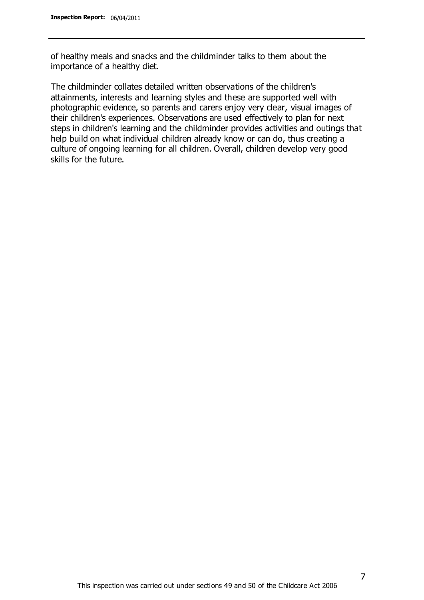of healthy meals and snacks and the childminder talks to them about the importance of a healthy diet.

The childminder collates detailed written observations of the children's attainments, interests and learning styles and these are supported well with photographic evidence, so parents and carers enjoy very clear, visual images of their children's experiences. Observations are used effectively to plan for next steps in children's learning and the childminder provides activities and outings that help build on what individual children already know or can do, thus creating a culture of ongoing learning for all children. Overall, children develop very good skills for the future.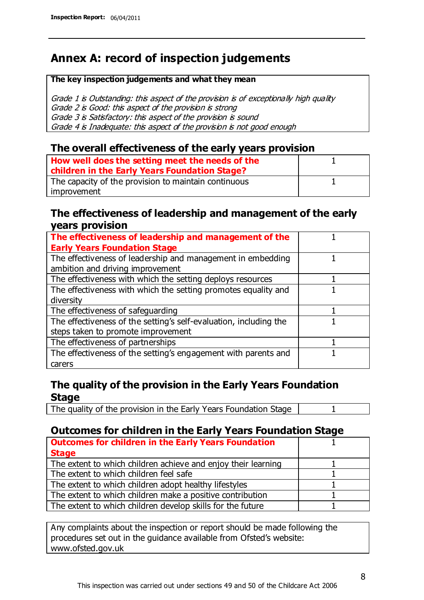# **Annex A: record of inspection judgements**

#### **The key inspection judgements and what they mean**

Grade 1 is Outstanding: this aspect of the provision is of exceptionally high quality Grade 2 is Good: this aspect of the provision is strong Grade 3 is Satisfactory: this aspect of the provision is sound Grade 4 is Inadequate: this aspect of the provision is not good enough

### **The overall effectiveness of the early years provision**

| How well does the setting meet the needs of the<br>children in the Early Years Foundation Stage? |  |
|--------------------------------------------------------------------------------------------------|--|
| The capacity of the provision to maintain continuous                                             |  |
| improvement                                                                                      |  |

### **The effectiveness of leadership and management of the early years provision**

| The effectiveness of leadership and management of the             |  |
|-------------------------------------------------------------------|--|
| <b>Early Years Foundation Stage</b>                               |  |
| The effectiveness of leadership and management in embedding       |  |
| ambition and driving improvement                                  |  |
| The effectiveness with which the setting deploys resources        |  |
| The effectiveness with which the setting promotes equality and    |  |
| diversity                                                         |  |
| The effectiveness of safeguarding                                 |  |
| The effectiveness of the setting's self-evaluation, including the |  |
| steps taken to promote improvement                                |  |
| The effectiveness of partnerships                                 |  |
| The effectiveness of the setting's engagement with parents and    |  |
| carers                                                            |  |

### **The quality of the provision in the Early Years Foundation Stage**

The quality of the provision in the Early Years Foundation Stage | 1

### **Outcomes for children in the Early Years Foundation Stage**

| <b>Outcomes for children in the Early Years Foundation</b>    |  |
|---------------------------------------------------------------|--|
| <b>Stage</b>                                                  |  |
| The extent to which children achieve and enjoy their learning |  |
| The extent to which children feel safe                        |  |
| The extent to which children adopt healthy lifestyles         |  |
| The extent to which children make a positive contribution     |  |
| The extent to which children develop skills for the future    |  |

Any complaints about the inspection or report should be made following the procedures set out in the guidance available from Ofsted's website: www.ofsted.gov.uk